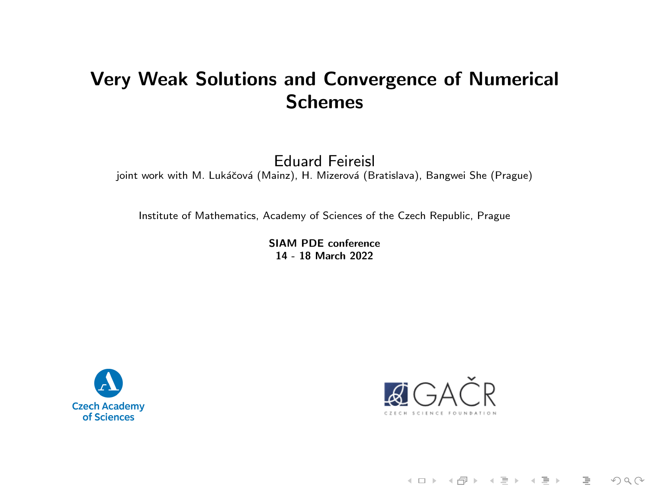## Very Weak Solutions and Convergence of Numerical Schemes

Eduard Feireisl

joint work with M. Lukáčová (Mainz), H. Mizerová (Bratislava), Bangwei She (Prague)

Institute of Mathematics, Academy of Sciences of the Czech Republic, Prague

SIAM PDE conference 14 - 18 March 2022





《ロ》 《御》 《君》 《君》 《君  $OQ$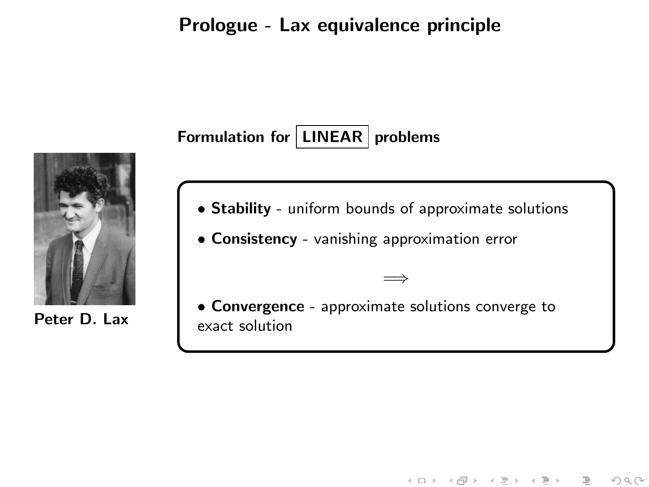#### Prologue - Lax equivalence principle

# Formulation for  $|$  LINEAR problems



Peter D. Lax

- Stability uniform bounds of approximate solutions
- Consistency vanishing approximation error
- Convergence approximate solutions converge to exact solution

=⇒

イロト イ部ト イミト イミト

 $OQ$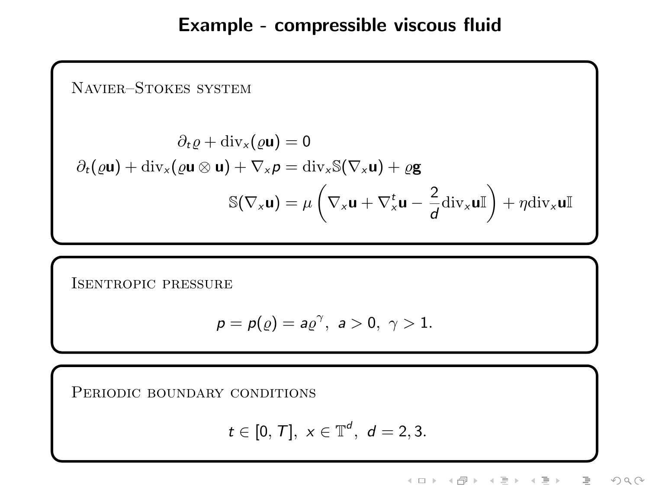## Example - compressible viscous fluid

Navier–Stokes system

$$
\partial_t \varrho + \text{div}_x(\varrho \mathbf{u}) = 0
$$
  

$$
\partial_t(\varrho \mathbf{u}) + \text{div}_x(\varrho \mathbf{u} \otimes \mathbf{u}) + \nabla_x \rho = \text{div}_x \mathbb{S}(\nabla_x \mathbf{u}) + \varrho \mathbf{g}
$$
  

$$
\mathbb{S}(\nabla_x \mathbf{u}) = \mu \left( \nabla_x \mathbf{u} + \nabla_x^t \mathbf{u} - \frac{2}{d} \text{div}_x \mathbf{u} \mathbb{I} \right) + \eta \text{div}_x \mathbf{u} \mathbb{I}
$$

Isentropic pressure

$$
p = p(\varrho) = a\varrho^{\gamma}, \ a > 0, \ \gamma > 1.
$$

PERIODIC BOUNDARY CONDITIONS

$$
t \in [0, T], x \in \mathbb{T}^d, d = 2, 3.
$$

《ロ》 《部》 《唐》 《唐》 一目  $\begin{picture}(160,170) \put(0,0){\line(1,0){10}} \put(10,0){\line(1,0){10}} \put(10,0){\line(1,0){10}} \put(10,0){\line(1,0){10}} \put(10,0){\line(1,0){10}} \put(10,0){\line(1,0){10}} \put(10,0){\line(1,0){10}} \put(10,0){\line(1,0){10}} \put(10,0){\line(1,0){10}} \put(10,0){\line(1,0){10}} \put(10,0){\line(1,0){10}} \put(10,0){\line$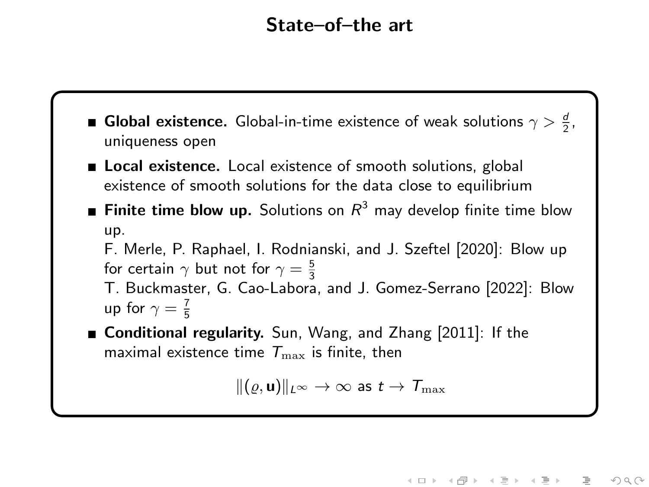## State–of–the art

- **Global existence.** Global-in-time existence of weak solutions  $\gamma > \frac{d}{2}$ , uniqueness open
- Local existence. Local existence of smooth solutions, global existence of smooth solutions for the data close to equilibrium
- Finite time blow up. Solutions on  $R^3$  may develop finite time blow up.

F. Merle, P. Raphael, I. Rodnianski, and J. Szeftel [2020]: Blow up for certain  $\gamma$  but not for  $\gamma=\frac{5}{3}$ 

T. Buckmaster, G. Cao-Labora, and J. Gomez-Serrano [2022]: Blow up for  $\gamma = \frac{7}{5}$ 

■ Conditional regularity. Sun, Wang, and Zhang [2011]: If the maximal existence time  $T_{\text{max}}$  is finite, then

 $\|(\varrho, \mathbf{u})\|_{L^{\infty}} \to \infty$  as  $t \to \mathcal{T}_{\max}$ 

《ロ》 《部》 《唐》 《唐》 目  $OQ$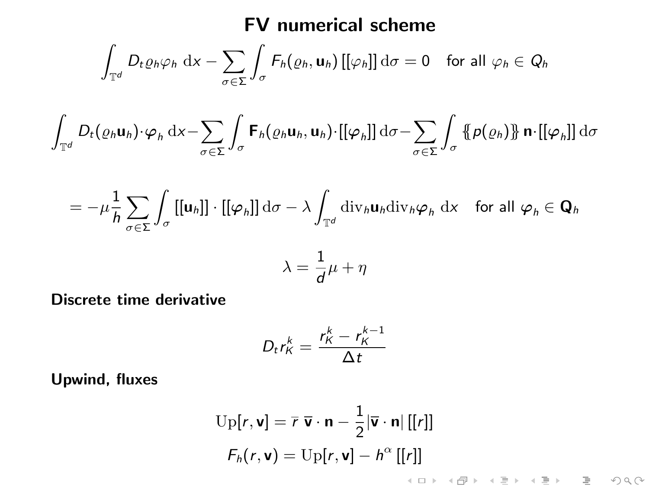## FV numerical scheme

$$
\int_{\mathbb{T}^d} D_t \varrho_h \varphi_h \, \, \mathrm{d}x - \sum_{\sigma \in \Sigma} \int_{\sigma} F_h(\varrho_h, \mathbf{u}_h) \, [[\varphi_h]] \, \mathrm{d}\sigma = 0 \quad \text{for all } \varphi_h \in Q_h
$$

$$
\int_{\mathbb{T}^d} D_t(\varrho_h \mathbf{u}_h) \cdot \varphi_h \, \mathrm{d}x - \sum_{\sigma \in \Sigma} \int_{\sigma} \mathbf{F}_h(\varrho_h \mathbf{u}_h, \mathbf{u}_h) \cdot [ [\varphi_h]] \, \mathrm{d}\sigma - \sum_{\sigma \in \Sigma} \int_{\sigma} {\{\hspace{-0.07cm} \{ \boldsymbol{p}(\varrho_h) \} \hspace{-0.07cm} \} } \mathbf{n} \cdot [[ \varphi_h]] \, \mathrm{d}\sigma
$$

$$
= -\mu \frac{1}{h} \sum_{\sigma \in \Sigma} \int_{\sigma} [[\mathbf{u}_h]] \cdot [[\varphi_h]] \, \mathrm{d}\sigma - \lambda \int_{\mathbb{T}^d} \mathrm{div}_h \mathbf{u}_h \mathrm{div}_h \varphi_h \, \mathrm{d}x \quad \text{for all } \varphi_h \in \mathbf{Q}_h
$$

$$
\lambda = \frac{1}{d}\mu + \eta
$$

Discrete time derivative

$$
D_t r_K^k = \frac{r_K^k - r_K^{k-1}}{\Delta t}
$$

Upwind, fluxes

$$
Up[r, v] = \overline{r} \overline{v} \cdot n - \frac{1}{2} |\overline{v} \cdot n| [[r]]
$$
  
\n
$$
F_h(r, v) = Up[r, v] - h^{\alpha} [[r]]
$$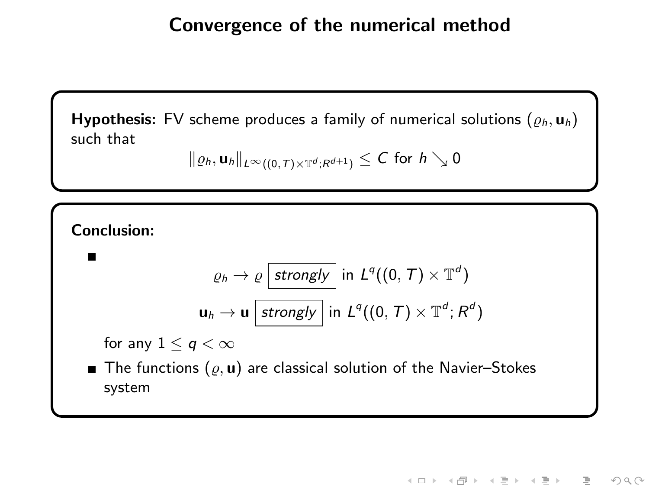## Convergence of the numerical method

**Hypothesis:** FV scheme produces a family of numerical solutions  $(\varrho_h, \mathbf{u}_h)$ such that

$$
\|\varrho_h, \mathbf{u}_h\|_{L^\infty((0,\,T)\times\mathbb{T}^d; R^{d+1})}\leq C\,\,\text{for}\,\,h\searrow 0
$$

Conclusion:

$$
\varrho_h \to \varrho \, \overline{\text{strongly}} \, \text{ in } \, L^q((0, \, \mathcal{T}) \times \mathbb{T}^d)
$$
\n
$$
\mathbf{u}_h \to \mathbf{u} \, \overline{\text{strongly}} \, \text{ in } \, L^q((0, \, \mathcal{T}) \times \mathbb{T}^d; R^d)
$$

for any  $1 \le q < \infty$ 

The functions  $(\varrho, \mathbf{u})$  are classical solution of the Navier–Stokes system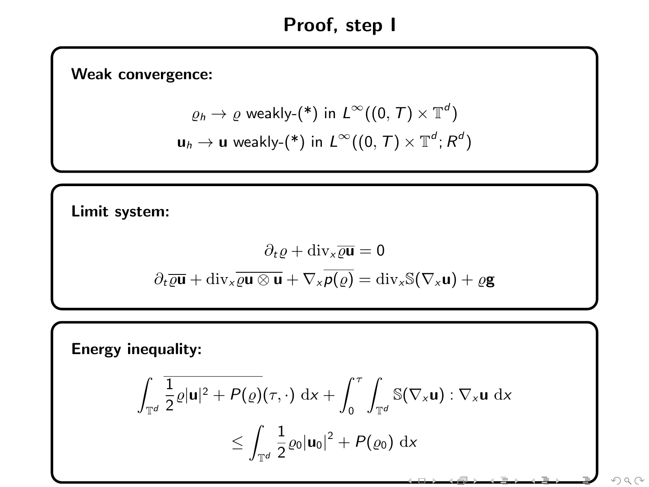# Proof, step I

Weak convergence:

$$
\varrho_h \to \varrho \text{ weakly-}(*) \text{ in } L^{\infty}((0, T) \times \mathbb{T}^d)
$$
  

$$
\mathbf{u}_h \to \mathbf{u} \text{ weakly-}(*) \text{ in } L^{\infty}((0, T) \times \mathbb{T}^d; R^d)
$$

Limit system:

$$
\partial_t \varrho + \text{div}_x \overline{\varrho \mathbf{u}} = 0
$$

$$
\partial_t \overline{\varrho \mathbf{u}} + \text{div}_x \overline{\varrho \mathbf{u} \otimes \mathbf{u}} + \nabla_x \overline{\rho(\varrho)} = \text{div}_x \mathbb{S}(\nabla_x \mathbf{u}) + \varrho \mathbf{g}
$$

Energy inequality:

$$
\int_{\mathbb{T}^d} \frac{1}{2} \varrho |\mathbf{u}|^2 + P(\varrho)(\tau, \cdot) \, \mathrm{d}x + \int_0^{\tau} \int_{\mathbb{T}^d} \mathbb{S}(\nabla_x \mathbf{u}) : \nabla_x \mathbf{u} \, \mathrm{d}x
$$

$$
\leq \int_{\mathbb{T}^d} \frac{1}{2} \varrho_0 |\mathbf{u}_0|^2 + P(\varrho_0) \, \mathrm{d}x
$$

وللتقديم ومناقبها والمستوات والمراد

 $\circledcirc \circledcirc \circledcirc$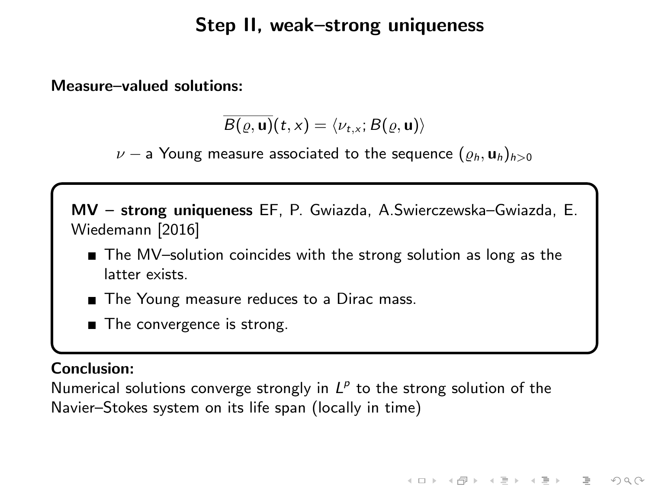## Step II, weak–strong uniqueness

Measure–valued solutions:

$$
\overline{B(\varrho, \mathbf{u})}(t, x) = \langle \nu_{t, x}; B(\varrho, \mathbf{u}) \rangle
$$

 $\nu$  – a Young measure associated to the sequence  $(\varrho_h, \mathbf{u}_h)_{h>0}$ 

MV – strong uniqueness EF, P. Gwiazda, A.Swierczewska–Gwiazda, E. Wiedemann [2016]

- The MV-solution coincides with the strong solution as long as the latter exists.
- The Young measure reduces to a Dirac mass.
- The convergence is strong.

#### Conclusion:

Numerical solutions converge strongly in  $L^p$  to the strong solution of the Navier–Stokes system on its life span (locally in time)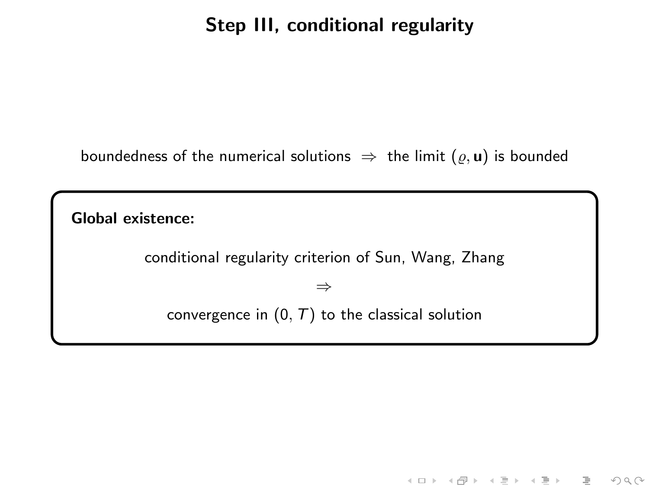## Step III, conditional regularity

boundedness of the numerical solutions  $\Rightarrow$  the limit  $(\varrho, \mathbf{u})$  is bounded

Global existence:

conditional regularity criterion of Sun, Wang, Zhang

⇒

convergence in  $(0, T)$  to the classical solution

 $\begin{picture}(160,170) \put(0,0){\line(1,0){10}} \put(10,0){\line(1,0){10}} \put(10,0){\line(1,0){10}} \put(10,0){\line(1,0){10}} \put(10,0){\line(1,0){10}} \put(10,0){\line(1,0){10}} \put(10,0){\line(1,0){10}} \put(10,0){\line(1,0){10}} \put(10,0){\line(1,0){10}} \put(10,0){\line(1,0){10}} \put(10,0){\line(1,0){10}} \put(10,0){\line$ 

目

《ロ》 《母》 《결》 《唐》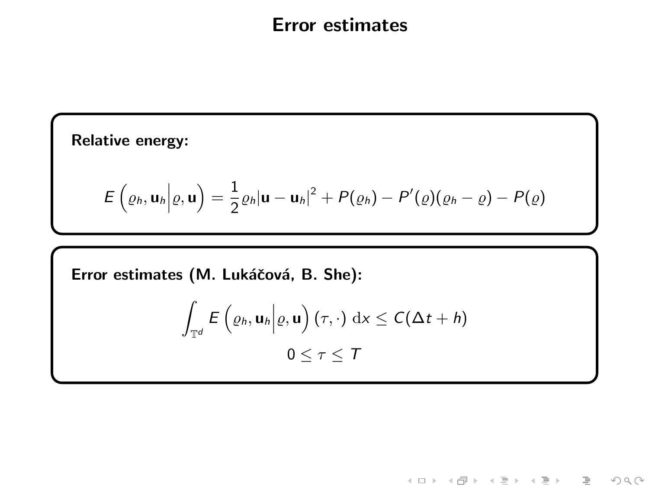### Error estimates

Relative energy:

$$
E\left(\varrho_h,\mathbf{u}_h\bigg|\varrho,\mathbf{u}\right)=\frac{1}{2}\varrho_h|\mathbf{u}-\mathbf{u}_h|^2+P(\varrho_h)-P'(\varrho)(\varrho_h-\varrho)-P(\varrho)
$$

Error estimates (M. Lukáčová, B. She):

$$
\int_{\mathbb{T}^d} E\left(\varrho_h, \mathbf{u}_h \middle| \varrho, \mathbf{u}\right) (\tau, \cdot) \, \mathrm{d}x \leq C(\Delta t + h)
$$

$$
0 \leq \tau \leq \mathcal{T}
$$

K ロ > K 레 > K 프 > K 콘 > 트 콘 → 9 Q Q\*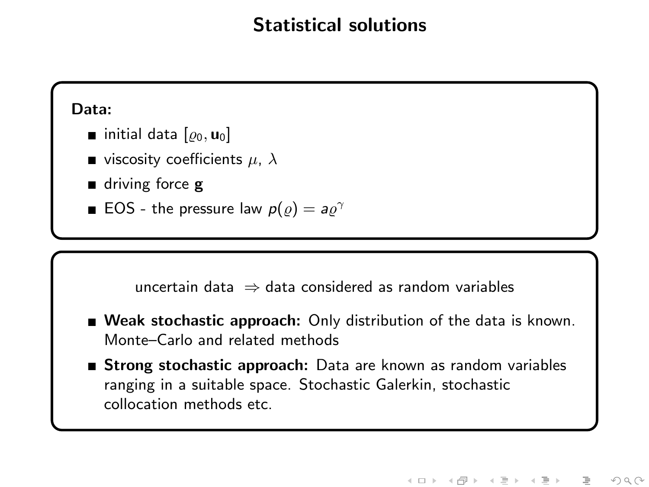## Statistical solutions

#### Data:

- initial data  $[\rho_0, \mathbf{u}_0]$
- viscosity coefficients  $\mu$ ,  $\lambda$
- driving force **g**
- EOS the pressure law  $p(\varrho) = a \varrho^{\gamma}$



- Weak stochastic approach: Only distribution of the data is known. Monte–Carlo and related methods
- **Strong stochastic approach:** Data are known as random variables ranging in a suitable space. Stochastic Galerkin, stochastic collocation methods etc.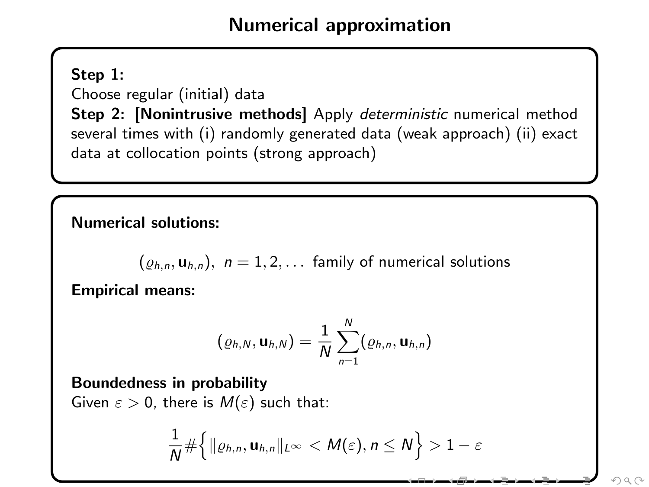## Numerical approximation

#### Step 1:

Choose regular (initial) data

Step 2: [Nonintrusive methods] Apply deterministic numerical method several times with (i) randomly generated data (weak approach) (ii) exact data at collocation points (strong approach)

Numerical solutions:

 $(\rho_{h,n}, \mathbf{u}_{h,n}), n = 1, 2, \dots$  family of numerical solutions

Empirical means:

$$
(\varrho_{h,N}, \mathbf{u}_{h,N}) = \frac{1}{N} \sum_{n=1}^{N} (\varrho_{h,n}, \mathbf{u}_{h,n})
$$

Boundedness in probability

Given  $\varepsilon > 0$ , there is  $M(\varepsilon)$  such that:

$$
\frac{1}{N} \#\Big\{\|\varrho_{h,n}, \mathbf{u}_{h,n}\|_{L^\infty} < M(\varepsilon), n \leq N\Big\} > 1-\varepsilon
$$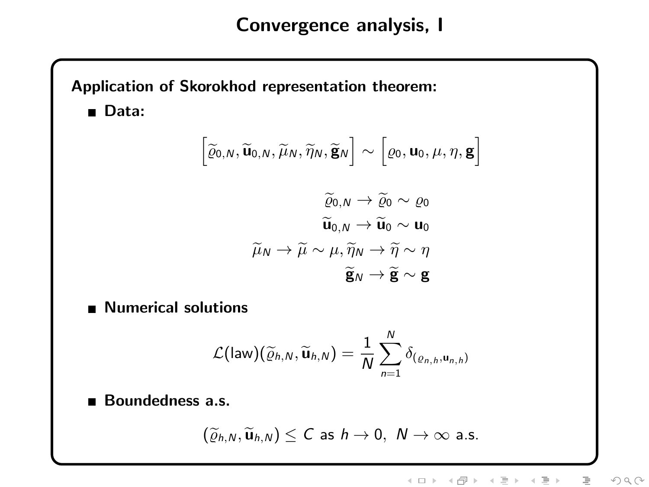## Convergence analysis, I

# Application of Skorokhod representation theorem: ■ Data:  $\left[\widetilde{\varrho}_{0,N}, \widetilde{\mathbf{u}}_{0,N}, \widetilde{\mu}_{N}, \widetilde{\eta}_{N}, \widetilde{\mathbf{g}}_{N}\right] \sim \left[\varrho_{0}, \mathbf{u}_{0}, \mu, \eta, \mathbf{g}\right]$  $\widetilde{\rho}_0$   $\longrightarrow \widetilde{\rho}_0 \sim \rho_0$  $\widetilde{\mathbf{u}}_{0,N} \rightarrow \widetilde{\mathbf{u}}_{0} \sim \mathbf{u}_{0}$  $\widetilde{\mu}_{N} \rightarrow \widetilde{\mu} \sim \mu, \widetilde{\eta}_{N} \rightarrow \widetilde{\eta} \sim \eta$  $\widetilde{\mathbf{e}}_N \to \widetilde{\mathbf{e}} \sim \mathbf{e}$ **Numerical solutions**  $\mathcal{L}(\mathsf{law})(\widetilde{\varrho}_{h,\mathsf{N}},\widetilde{\mathsf{u}}_{h,\mathsf{N}})=\frac{1}{\mathsf{N}}$  $\sum_{\lambda}^{N}$  $\sum_{n=1} \delta_{(\varrho_{n,h},\mathbf{u}_{n,h})}$ Boundedness a.s.  $(\widetilde{\rho}_{h,N}, \widetilde{\mathbf{u}}_{h,N}) \leq C$  as  $h \to 0$ ,  $N \to \infty$  a.s.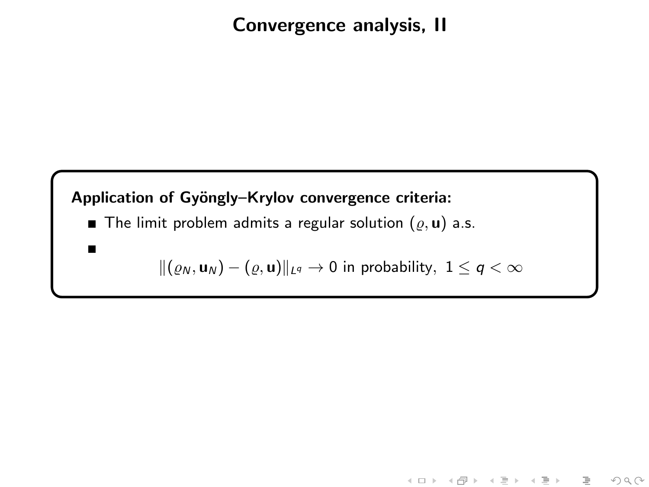## Convergence analysis, II

## Application of Gyöngly-Krylov convergence criteria:

 $\blacksquare$ 

The limit problem admits a regular solution  $(\varrho, \mathbf{u})$  a.s.

$$
\|(\varrho_N, \mathbf{u}_N) - (\varrho, \mathbf{u})\|_{L^q} \to 0 \text{ in probability, } 1 \leq q < \infty
$$

《ロ》 《御》 《唐》 《唐》 《唐

 $OQ$